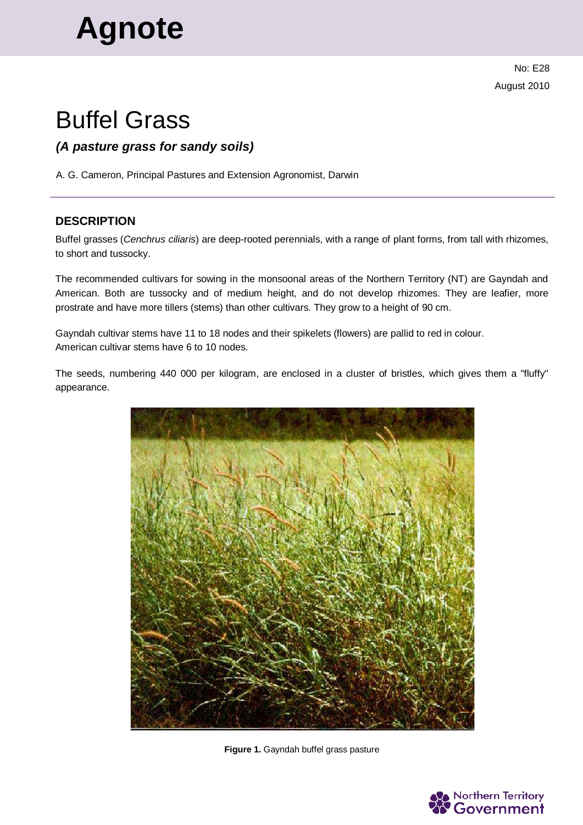# **Agnote**

No: E28 August 2010

# Buffel Grass

# *(A pasture grass for sandy soils)*

A. G. Cameron, Principal Pastures and Extension Agronomist, Darwin

## **DESCRIPTION**

Buffel grasses (*Cenchrus ciliaris*) are deep-rooted perennials, with a range of plant forms, from tall with rhizomes, to short and tussocky.

The recommended cultivars for sowing in the monsoonal areas of the Northern Territory (NT) are Gayndah and American. Both are tussocky and of medium height, and do not develop rhizomes. They are leafier, more prostrate and have more tillers (stems) than other cultivars. They grow to a height of 90 cm.

Gayndah cultivar stems have 11 to 18 nodes and their spikelets (flowers) are pallid to red in colour. American cultivar stems have 6 to 10 nodes.

The seeds, numbering 440 000 per kilogram, are enclosed in a cluster of bristles, which gives them a "fluffy" appearance.



**Figure 1.** Gayndah buffel grass pasture

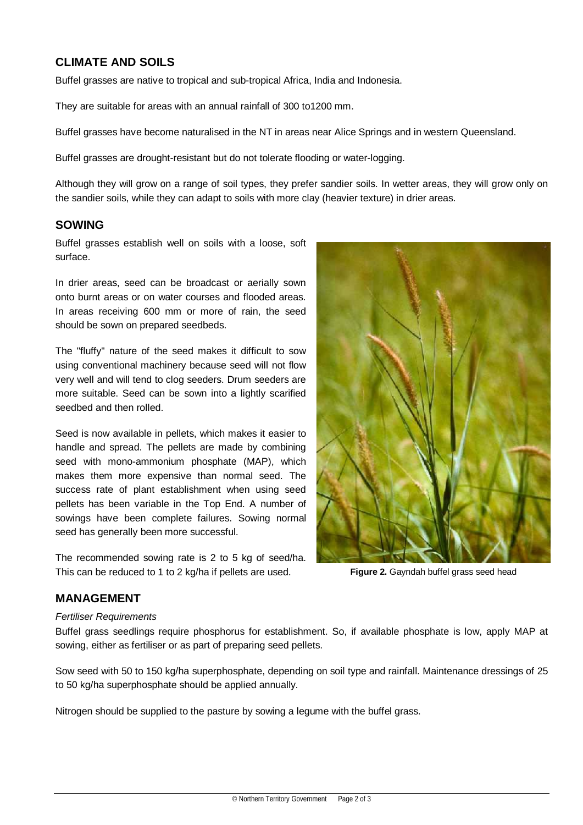# **CLIMATE AND SOILS**

Buffel grasses are native to tropical and sub-tropical Africa, India and Indonesia.

They are suitable for areas with an annual rainfall of 300 to1200 mm.

Buffel grasses have become naturalised in the NT in areas near Alice Springs and in western Queensland.

Buffel grasses are drought-resistant but do not tolerate flooding or water-logging.

Although they will grow on a range of soil types, they prefer sandier soils. In wetter areas, they will grow only on the sandier soils, while they can adapt to soils with more clay (heavier texture) in drier areas.

#### **SOWING**

Buffel grasses establish well on soils with a loose, soft surface.

In drier areas, seed can be broadcast or aerially sown onto burnt areas or on water courses and flooded areas. In areas receiving 600 mm or more of rain, the seed should be sown on prepared seedbeds.

The "fluffy" nature of the seed makes it difficult to sow using conventional machinery because seed will not flow very well and will tend to clog seeders. Drum seeders are more suitable. Seed can be sown into a lightly scarified seedbed and then rolled.

Seed is now available in pellets, which makes it easier to handle and spread. The pellets are made by combining seed with mono-ammonium phosphate (MAP), which makes them more expensive than normal seed. The success rate of plant establishment when using seed pellets has been variable in the Top End. A number of sowings have been complete failures. Sowing normal seed has generally been more successful.

The recommended sowing rate is 2 to 5 kg of seed/ha. This can be reduced to 1 to 2 kg/ha if pellets are used.



**Figure 2.** Gayndah buffel grass seed head

#### **MANAGEMENT**

#### *Fertiliser Requirements*

Buffel grass seedlings require phosphorus for establishment. So, if available phosphate is low, apply MAP at sowing, either as fertiliser or as part of preparing seed pellets.

Sow seed with 50 to 150 kg/ha superphosphate, depending on soil type and rainfall. Maintenance dressings of 25 to 50 kg/ha superphosphate should be applied annually.

Nitrogen should be supplied to the pasture by sowing a legume with the buffel grass.